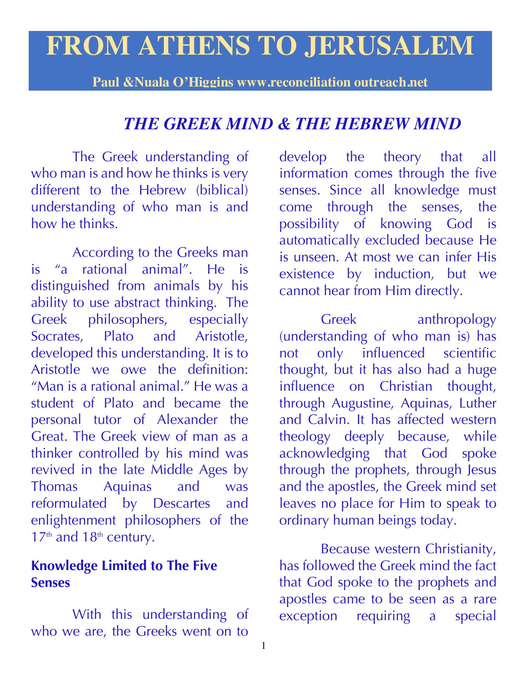# **FROM ATHENS TO JERUSALEM**

**Paul &Nuala O'Higgins www.reconciliation outreach.net**

## *THE GREEK MIND & THE HEBREW MIND*

The Greek understanding of who man is and how he thinks is very different to the Hebrew (biblical) understanding of who man is and how he thinks

According to the Greeks man is "a rational animal". He is distinguished from animals by his ability to use abstract thinking. The Greek philosophers, especially Socrates, Plato and Aristotle, developed this understanding. It is to Aristotle we owe the definition: "Man is a rational animal." He was a student of Plato and became the personal tutor of Alexander the Great. The Greek view of man as a thinker controlled by his mind was revived in the late Middle Ages by Thomas Aquinas and was reformulated by Descartes and enlightenment philosophers of the  $17<sup>th</sup>$  and  $18<sup>th</sup>$  century.

#### **Knowledge Limited to The Five Senses**

With this understanding of who we are, the Greeks went on to

develop the theory that all information comes through the five senses. Since all knowledge must come through the senses, the possibility of knowing God is automatically excluded because He is unseen. At most we can infer His existence by induction, but we cannot hear from Him directly.

Greek anthropology (understanding of who man is) has not only influenced scientific thought, but it has also had a huge influence on Christian thought, through Augustine, Aquinas, Luther and Calvin. It has affected western theology deeply because, while acknowledging that God spoke through the prophets, through Jesus and the apostles, the Greek mind set leaves no place for Him to speak to ordinary human beings today.

Because western Christianity, has followed the Greek mind the fact that God spoke to the prophets and apostles came to be seen as a rare exception requiring a special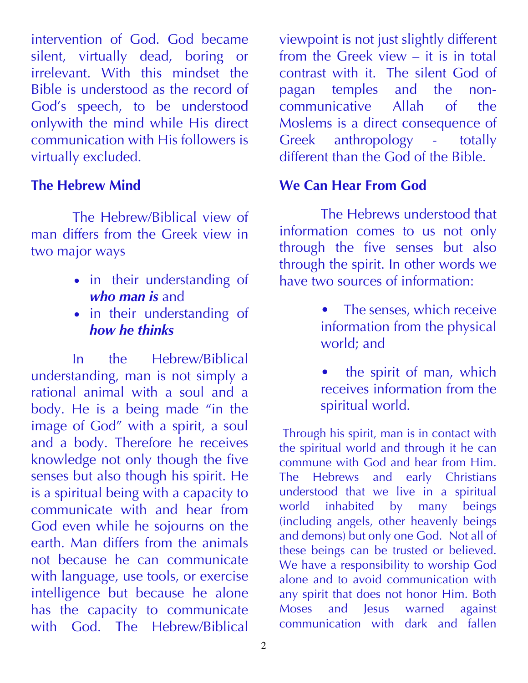intervention of God. God became silent, virtually dead, boring or irrelevant. With this mindset the Bible is understood as the record of God's speech, to be understood onlywith the mind while His direct communication with His followers is virtually excluded.

#### **The Hebrew Mind**

The Hebrew/Biblical view of man differs from the Greek view in two major ways

- in their understanding of *who man is* and
- in their understanding of *how he thinks*

In the Hebrew/Biblical understanding, man is not simply a rational animal with a soul and a body. He is a being made "in the image of God" with a spirit, a soul and a body. Therefore he receives knowledge not only though the five senses but also though his spirit. He is a spiritual being with a capacity to communicate with and hear from God even while he sojourns on the earth. Man differs from the animals not because he can communicate with language, use tools, or exercise intelligence but because he alone has the capacity to communicate with God. The Hebrew/Biblical

viewpoint is not just slightly different from the Greek view – it is in total contrast with it. The silent God of pagan temples and the noncommunicative Allah of the Moslems is a direct consequence of Greek anthropology - totally different than the God of the Bible.

## **We Can Hear From God**

The Hebrews understood that information comes to us not only through the five senses but also through the spirit. In other words we have two sources of information:

- The senses, which receive information from the physical world; and
- the spirit of man, which receives information from the spiritual world.

Through his spirit, man is in contact with the spiritual world and through it he can commune with God and hear from Him. The Hebrews and early Christians understood that we live in a spiritual world inhabited by many beings (including angels, other heavenly beings and demons) but only one God. Not all of these beings can be trusted or believed. We have a responsibility to worship God alone and to avoid communication with any spirit that does not honor Him. Both Moses and Jesus warned against communication with dark and fallen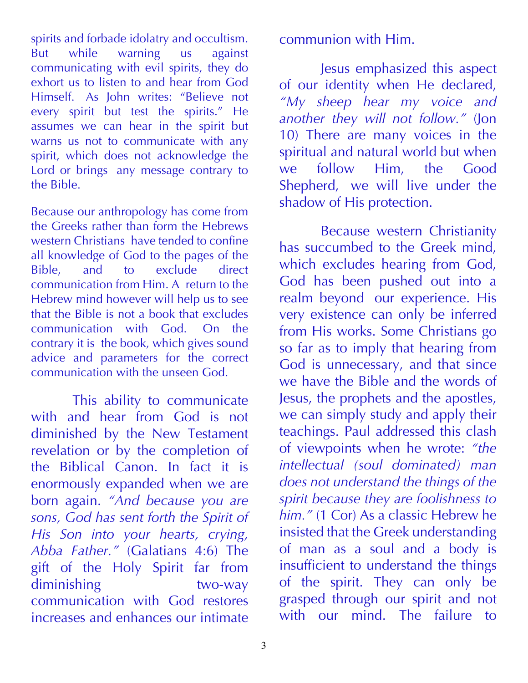spirits and forbade idolatry and occultism. But while warning us against communicating with evil spirits, they do exhort us to listen to and hear from God Himself. As John writes: "Believe not every spirit but test the spirits." He assumes we can hear in the spirit but warns us not to communicate with any spirit, which does not acknowledge the Lord or brings any message contrary to the Bible.

Because our anthropology has come from the Greeks rather than form the Hebrews western Christians have tended to confine all knowledge of God to the pages of the Bible, and to exclude direct communication from Him. A return to the Hebrew mind however will help us to see that the Bible is not a book that excludes communication with God. On the contrary it is the book, which gives sound advice and parameters for the correct communication with the unseen God.

This ability to communicate with and hear from God is not diminished by the New Testament revelation or by the completion of the Biblical Canon. In fact it is enormously expanded when we are born again. *"And because you are sons, God has sent forth the Spirit of His Son into your hearts, crying, Abba Father."* (Galatians 4:6) The gift of the Holy Spirit far from diminishing two-way communication with God restores increases and enhances our intimate communion with Him.

Jesus emphasized this aspect of our identity when He declared, *"My sheep hear my voice and another they will not follow."* (Jon 10) There are many voices in the spiritual and natural world but when we follow Him, the Good Shepherd, we will live under the shadow of His protection.

Because western Christianity has succumbed to the Greek mind, which excludes hearing from God, God has been pushed out into a realm beyond our experience. His very existence can only be inferred from His works. Some Christians go so far as to imply that hearing from God is unnecessary, and that since we have the Bible and the words of Jesus, the prophets and the apostles, we can simply study and apply their teachings. Paul addressed this clash of viewpoints when he wrote: *"the intellectual (soul dominated) man does not understand the things of the spirit because they are foolishness to*  him." (1 Cor) As a classic Hebrew he insisted that the Greek understanding of man as a soul and a body is insufficient to understand the things of the spirit. They can only be grasped through our spirit and not with our mind. The failure to